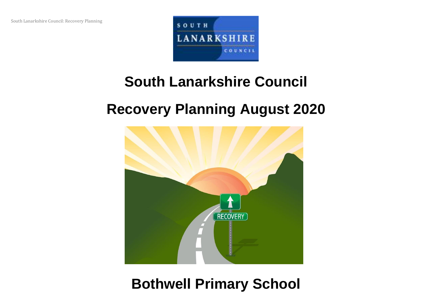

# **South Lanarkshire Council**

## **Recovery Planning August 2020**



### **Bothwell Primary School**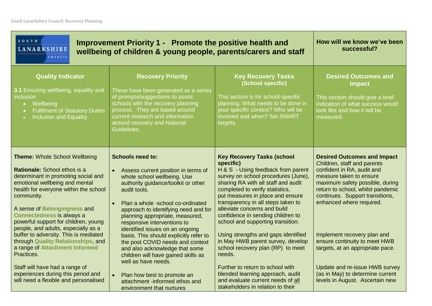| SOUTH<br><b>LANARKSHIRE</b><br><b>COUNCIL</b>                                                                                                                                                                                                                                                                                                           | Improvement Priority 1 - Promote the positive health and<br>wellbeing of children & young people, parents/carers and staff                                                                                                                                                                                                             | How will we know we've been<br>successful?                                                                                                                                                                                                                                                                                                                                                |                                                                                                                                                                                                                                                                   |
|---------------------------------------------------------------------------------------------------------------------------------------------------------------------------------------------------------------------------------------------------------------------------------------------------------------------------------------------------------|----------------------------------------------------------------------------------------------------------------------------------------------------------------------------------------------------------------------------------------------------------------------------------------------------------------------------------------|-------------------------------------------------------------------------------------------------------------------------------------------------------------------------------------------------------------------------------------------------------------------------------------------------------------------------------------------------------------------------------------------|-------------------------------------------------------------------------------------------------------------------------------------------------------------------------------------------------------------------------------------------------------------------|
| <b>Quality Indicator</b><br>3.1 Ensuring wellbeing, equality and<br>inclusion<br>• Wellbeing<br><b>Fulfilment of Statutory Duties</b><br>Inclusion and Equality<br>$\bullet$                                                                                                                                                                            | <b>Recovery Priority</b><br>These have been generated as a series<br>of prompts/suggestions to assist<br>schools with the recovery planning<br>process. They are based around<br>current research and information<br>around recovery and National<br>Guidelines.                                                                       | <b>Key Recovery Tasks</b><br>(School specific)<br>This section is for school-specific<br>planning. What needs to be done in<br>your specific context? Who will be<br>involved and when? Set SMART<br>targets.                                                                                                                                                                             | <b>Desired Outcomes and</b><br><b>Impact</b><br>This section should give a brief<br>indication of what success would<br>look like and how it will be<br>measured.                                                                                                 |
| <b>Theme: Whole School Wellbeing</b><br>Rationale: School ethos is a<br>determinant in promoting social and<br>emotional wellbeing and mental<br>health for everyone within the school<br>community.<br>A sense of Belongingness and<br><b>Connectedness is always a</b><br>powerful support for children, young<br>people, and adults, especially as a | <b>Schools need to:</b><br>Assess current position in terms of<br>whole school wellbeing. Use<br>authority guidance/toolkit or other<br>audit tools.<br>Plan a whole -school co-ordinated<br>approach to identifying need and for<br>planning appropriate, measured,<br>responsive interventions to<br>identified issues on an ongoing | <b>Key Recovery Tasks (school</b><br>specific)<br>H & S - Using feedback from parent<br>survey on school procedures (June),<br>sharing RA with all staff and audit<br>completed to verify statistics,<br>put measures in place and ensure<br>transparency in all steps taken to<br>alleviate concerns and build<br>confidence in sending children to<br>school and supporting transition. | <b>Desired Outcomes and Impact</b><br>Children, staff and parents<br>confident in RA, audit and<br>measure taken to ensure<br>maximum safety possible, during<br>return to school, whilst pandemic<br>continues. Support transitions,<br>enhanced where required. |
| buffer to adversity. This is mediated<br>through Quality Relationships, and<br>a range of Attachment Informed<br>Practices.<br>Staff will have had a range of<br>experiences during this period and<br>will need a flexible and personalised                                                                                                            | basis. This should explicitly refer to<br>the post COVID needs and context<br>and also acknowledge that some<br>children will have gained skills as<br>well as have needs.<br>Plan how best to promote an<br>attachment -informed ethos and<br>environment that nurtures                                                               | Using strengths and gaps identified<br>in May HWB parent survey, develop<br>school recovery plan (RP) to meet<br>needs.<br>Further to return to school with<br>blended learning approach, audit<br>and evaluate current needs of all<br>stakeholders in relation to their                                                                                                                 | Implement recovery plan and<br>ensure continuity to meet HWB<br>targets, at an appropriate pace.<br>Update and re-issue HWB survey<br>(as in May) to determine current<br>levels in August. Ascertain new                                                         |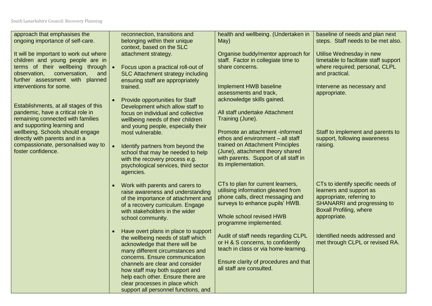South Lanarkshire Council: Recovery Planning

| approach that emphasises the                                               |           | reconnection, transitions and                                              | health and wellbeing. (Undertaken in                                      | baseline of needs and plan next                                   |
|----------------------------------------------------------------------------|-----------|----------------------------------------------------------------------------|---------------------------------------------------------------------------|-------------------------------------------------------------------|
| ongoing importance of self-care.                                           |           | belonging within their unique<br>context, based on the SLC                 | May)                                                                      | steps. Staff needs to be met also.                                |
| It will be important to work out where<br>children and young people are in |           | attachment strategy.                                                       | Organise buddy/mentor approach for<br>staff. Factor in collegiate time to | Utilise Wednesday in new<br>timetable to facilitate staff support |
| terms of their wellbeing through                                           |           | Focus upon a practical roll-out of                                         | share concerns.                                                           | where required; personal, CLPL                                    |
| observation,<br>conversation,<br>and<br>further assessment with planned    |           | SLC Attachment strategy including<br>ensuring staff are appropriately      |                                                                           | and practical.                                                    |
| interventions for some.                                                    |           | trained.                                                                   | Implement HWB baseline                                                    | Intervene as necessary and                                        |
|                                                                            |           | <b>Provide opportunities for Staff</b>                                     | assessments and track,<br>acknowledge skills gained.                      | appropriate.                                                      |
| Establishments, at all stages of this                                      |           | Development which allow staff to                                           |                                                                           |                                                                   |
| pandemic, have a critical role in<br>remaining connected with families     |           | focus on individual and collective<br>wellbeing needs of their children    | All staff undertake Attachment<br>Training (June).                        |                                                                   |
| and supporting learning and<br>wellbeing. Schools should engage            |           | and young people, especially their<br>most vulnerable.                     | Promote an attachment -informed                                           | Staff to implement and parents to                                 |
| directly with parents and in a                                             |           |                                                                            | ethos and environment - all staff                                         | support, following awareness                                      |
| compassionate, personalised way to<br>foster confidence.                   | $\bullet$ | Identify partners from beyond the<br>school that may be needed to help     | trained on Attachment Principles<br>(June), attachment theory shared      | raising.                                                          |
|                                                                            |           | with the recovery process e.g.                                             | with parents. Support of all staff in<br>its implementation.              |                                                                   |
|                                                                            |           | psychological services, third sector<br>agencies.                          |                                                                           |                                                                   |
|                                                                            |           | Work with parents and carers to                                            | CTs to plan for current learners,                                         | CTs to identify specific needs of                                 |
|                                                                            |           | raise awareness and understanding                                          | utilising information gleaned from<br>phone calls, direct messaging and   | learners and support as<br>appropriate, referring to              |
|                                                                            |           | of the importance of attachment and<br>of a recovery curriculum. Engage    | surveys to enhance pupils' HWB.                                           | <b>SHANARRI</b> and progressing to                                |
|                                                                            |           | with stakeholders in the wider<br>school community.                        | Whole school revised HWB                                                  | <b>Boxall Profiling, where</b><br>appropriate.                    |
|                                                                            |           |                                                                            | programme implemented.                                                    |                                                                   |
|                                                                            |           | Have overt plans in place to support<br>the wellbeing needs of staff which | Audit of staff needs regarding CLPL                                       | Identified needs addressed and                                    |
|                                                                            |           | acknowledge that there will be<br>many different circumstances and         | or H & S concerns, to confidently<br>teach in class or via home-learning. | met through CLPL or revised RA.                                   |
|                                                                            |           | concerns. Ensure communication                                             |                                                                           |                                                                   |
|                                                                            |           | channels are clear and consider<br>how staff may both support and          | Ensure clarity of procedures and that<br>all staff are consulted.         |                                                                   |
|                                                                            |           | help each other. Ensure there are                                          |                                                                           |                                                                   |
|                                                                            |           | clear processes in place which<br>support all personnel functions, and     |                                                                           |                                                                   |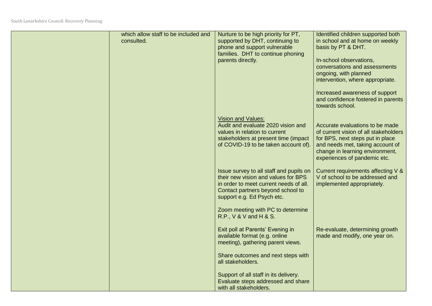| which allow staff to be included and<br>consulted. | Nurture to be high priority for PT,<br>supported by DHT, continuing to<br>phone and support vulnerable<br>families. DHT to continue phoning<br>parents directly.                            | Identified children supported both<br>in school and at home on weekly<br>basis by PT & DHT.<br>In-school observations,<br>conversations and assessments<br>ongoing, with planned<br>intervention, where appropriate.<br>Increased awareness of support<br>and confidence fostered in parents<br>towards school. |
|----------------------------------------------------|---------------------------------------------------------------------------------------------------------------------------------------------------------------------------------------------|-----------------------------------------------------------------------------------------------------------------------------------------------------------------------------------------------------------------------------------------------------------------------------------------------------------------|
|                                                    | <b>Vision and Values:</b><br>Audit and evaluate 2020 vision and<br>values in relation to current<br>stakeholders at present time (impact<br>of COVID-19 to be taken account of).            | Accurate evaluations to be made<br>of current vision of all stakeholders<br>for BPS, next steps put in place<br>and needs met, taking account of<br>change in learning environment,<br>experiences of pandemic etc.                                                                                             |
|                                                    | Issue survey to all staff and pupils on<br>their new vision and values for BPS<br>in order to meet current needs of all.<br>Contact partners beyond school to<br>support e.g. Ed Psych etc. | Current requirements affecting V &<br>V of school to be addressed and<br>implemented appropriately.                                                                                                                                                                                                             |
|                                                    | Zoom meeting with PC to determine<br>R.P., V & V and H & S.                                                                                                                                 |                                                                                                                                                                                                                                                                                                                 |
|                                                    | Exit poll at Parents' Evening in<br>available format (e.g. online<br>meeting), gathering parent views.                                                                                      | Re-evaluate, determining growth<br>made and modify, one year on.                                                                                                                                                                                                                                                |
|                                                    | Share outcomes and next steps with<br>all stakeholders.                                                                                                                                     |                                                                                                                                                                                                                                                                                                                 |
|                                                    | Support of all staff in its delivery.<br>Evaluate steps addressed and share<br>with all stakeholders.                                                                                       |                                                                                                                                                                                                                                                                                                                 |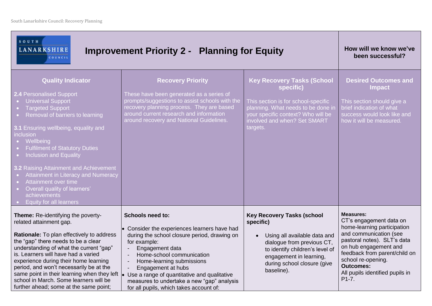| SOUTH<br><b>LANARKSHIRE</b><br><b>Improvement Priority 2 - Planning for Equity</b><br>COUNCIL                                                                                                                                                                                                                                                                                                                                                                                                                                                                    | How will we know we've<br>been successful?                                                                                                                                                                                                                                                                                                                                                    |                                                                                                                                                                                                                         |                                                                                                                                                                                                                                                                                       |
|------------------------------------------------------------------------------------------------------------------------------------------------------------------------------------------------------------------------------------------------------------------------------------------------------------------------------------------------------------------------------------------------------------------------------------------------------------------------------------------------------------------------------------------------------------------|-----------------------------------------------------------------------------------------------------------------------------------------------------------------------------------------------------------------------------------------------------------------------------------------------------------------------------------------------------------------------------------------------|-------------------------------------------------------------------------------------------------------------------------------------------------------------------------------------------------------------------------|---------------------------------------------------------------------------------------------------------------------------------------------------------------------------------------------------------------------------------------------------------------------------------------|
| <b>Quality Indicator</b><br>2.4 Personalised Support<br><b>Universal Support</b><br><b>Targeted Support</b><br>$\bullet$ .<br>Removal of barriers to learning<br>$\bullet$ .<br>3.1 Ensuring wellbeing, equality and<br><i>inclusion</i><br>Wellbeing<br><b>Fulfilment of Statutory Duties</b><br>Inclusion and Equality<br>3.2 Raising Attainment and Achievement<br>Attainment in Literacy and Numeracy<br>Attainment over time<br>$\bullet$ .<br>Overall quality of learners'<br>$\bullet$ .<br>achievements<br><b>Equity for all learners</b><br>$\bullet$ . | <b>Recovery Priority</b><br>These have been generated as a series of<br>prompts/suggestions to assist schools with the<br>recovery planning process. They are based<br>around current research and information<br>around recovery and National Guidelines.                                                                                                                                    | <b>Key Recovery Tasks (School</b><br>specific)<br>This section is for school-specific<br>planning. What needs to be done in<br>your specific context? Who will be<br>involved and when? Set SMART<br>targets.           | <b>Desired Outcomes and</b><br><b>Impact</b><br>This section should give a<br>brief indication of what<br>success would look like and<br>how it will be measured.                                                                                                                     |
| Theme: Re-identifying the poverty-<br>related attainment gap.<br>Rationale: To plan effectively to address<br>the "gap" there needs to be a clear<br>understanding of what the current "gap"<br>is. Learners will have had a varied<br>experience during their home learning<br>period, and won't necessarily be at the<br>same point in their learning when they left $\vert_{\bullet}$<br>school in March. Some learners will be<br>further ahead; some at the same point;                                                                                     | <b>Schools need to:</b><br>Consider the experiences learners have had<br>$\bullet$<br>during the school closure period, drawing on<br>for example:<br>Engagement data<br>Home-school communication<br>Home-learning submissions<br>Engagement at hubs<br>Use a range of quantitative and qualitative<br>measures to undertake a new "gap" analysis<br>for all pupils, which takes account of: | <b>Key Recovery Tasks (school</b><br>specific)<br>Using all available data and<br>dialogue from previous CT,<br>to identify children's level of<br>engagement in learning,<br>during school closure (give<br>baseline). | <b>Measures:</b><br>CT's engagement data on<br>home-learning participation<br>and communication (see<br>pastoral notes). SLT's data<br>on hub engagement and<br>feedback from parent/child on<br>school re-opening.<br><b>Outcomes:</b><br>All pupils identified pupils in<br>$P1-7.$ |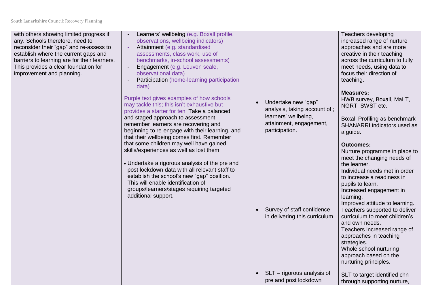with others showing limited progress if any. Schools therefore, need to reconsider their "gap" and re-assess to establish where the current gaps and barriers to learning are for their learners. This provides a clear foundation for improvement and planning.

- Learners' wellbeing (e.g. Boxall profile, observations, wellbeing indicators) - Attainment (e.g. standardised
- assessments, class work, use of benchmarks, in-school assessments)
- Engagement (e.g. Leuven scale, observational data)
- Participation (home-learning participation data)

Purple text gives examples of how schools may tackle this; this isn't exhaustive but provides a starter for ten. Take a balanced and staged approach to assessment; remember learners are recovering and beginning to re-engage with their learning, and that their wellbeing comes first. Remember that some children may well have gained skills/experiences as well as lost them.

 Undertake a rigorous analysis of the pre and post lockdown data with all relevant staff to establish the school's new "gap" position. This will enable identification of groups/learners/stages requiring targeted additional support.

 Undertake new "gap" analysis, taking account of ; learners' wellbeing, attainment, engagement, participation.

• Survey of staff confidence in delivering this curriculum.

pre and post lockdown

Teachers developing increased range of nurture approaches and are more creative in their teaching across the curriculum to fully meet needs, using data to focus their direction of teaching.

#### **Measures;**

HWB survey, Boxall, MaLT, NGRT, SWST etc.

Boxall Profiling as benchmark SHANARRI indicators used as a guide.

### **Outcomes:**

 SLT – rigorous analysis of Nurture programme in place to meet the changing needs of the learner. Individual needs met in order to increase a readiness in pupils to learn. Increased engagement in learning. Improved attitude to learning. Teachers supported to deliver curriculum to meet children's and own needs. Teachers increased range of approaches in teaching strategies. Whole school nurturing approach based on the nurturing principles.

| SLT to target identified chn |
|------------------------------|
| through supporting nurture,  |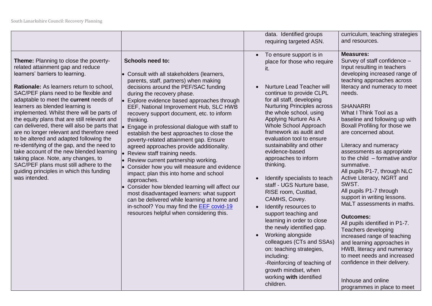|                                                                                                                                                                                                                                                                                                                                                                                                                                                                                                                                                                                                                                                                                                                                                                      |                                                                                                                                                                                                                                                                                                                                                                                                                                                                                                                                                                                                                                                                                                                                                                                                                                                                                                                                             | data. Identified groups<br>requiring targeted ASN.                                                                                                                                                                                                                                                                                                                                                                                                                                                                                                                                                                                                                                                                                                                                                                                         | curriculum, teaching strategies<br>and resources.                                                                                                                                                                                                                                                                                                                                                                                                                                                                                                                                                                                                                                                                                                                                                                                                                                                      |
|----------------------------------------------------------------------------------------------------------------------------------------------------------------------------------------------------------------------------------------------------------------------------------------------------------------------------------------------------------------------------------------------------------------------------------------------------------------------------------------------------------------------------------------------------------------------------------------------------------------------------------------------------------------------------------------------------------------------------------------------------------------------|---------------------------------------------------------------------------------------------------------------------------------------------------------------------------------------------------------------------------------------------------------------------------------------------------------------------------------------------------------------------------------------------------------------------------------------------------------------------------------------------------------------------------------------------------------------------------------------------------------------------------------------------------------------------------------------------------------------------------------------------------------------------------------------------------------------------------------------------------------------------------------------------------------------------------------------------|--------------------------------------------------------------------------------------------------------------------------------------------------------------------------------------------------------------------------------------------------------------------------------------------------------------------------------------------------------------------------------------------------------------------------------------------------------------------------------------------------------------------------------------------------------------------------------------------------------------------------------------------------------------------------------------------------------------------------------------------------------------------------------------------------------------------------------------------|--------------------------------------------------------------------------------------------------------------------------------------------------------------------------------------------------------------------------------------------------------------------------------------------------------------------------------------------------------------------------------------------------------------------------------------------------------------------------------------------------------------------------------------------------------------------------------------------------------------------------------------------------------------------------------------------------------------------------------------------------------------------------------------------------------------------------------------------------------------------------------------------------------|
| <b>Theme:</b> Planning to close the poverty-<br>related attainment gap and reduce<br>learners' barriers to learning.<br>Rationale: As learners return to school,<br>SAC/PEF plans need to be flexible and<br>adaptable to meet the current needs of<br>learners as blended learning is<br>implemented. Whilst there will be parts of<br>the equity plans that are still relevant and<br>can delivered, there will also be parts that<br>are no longer relevant and therefore need<br>to be altered and adapted following the<br>re-identifying of the gap, and the need to<br>take account of the new blended learning<br>taking place. Note, any changes, to<br>SAC/PEF plans must still adhere to the<br>guiding principles in which this funding<br>was intended. | <b>Schools need to:</b><br>Consult with all stakeholders (learners,<br>parents, staff, partners) when making<br>decisions around the PEF/SAC funding<br>during the recovery phase.<br>Explore evidence based approaches through<br>EEF, National Improvement Hub, SLC HWB<br>recovery support document, etc. to inform<br>thinking.<br>Engage in professional dialogue with staff to<br>establish the best approaches to close the<br>poverty-related attainment gap. Ensure<br>agreed approaches provide additionality.<br>Review staff training needs.<br>Review current partnership working.<br>Consider how you will measure and evidence<br>impact; plan this into home and school<br>approaches.<br>Consider how blended learning will affect our<br>most disadvantaged learners: what support<br>can be delivered while learning at home and<br>in-school? You may find the EEF covid-19<br>resources helpful when considering this. | To ensure support is in<br>$\bullet$<br>place for those who require<br><b>Nurture Lead Teacher will</b><br>continue to provide CLPL<br>for all staff, developing<br><b>Nurturing Principles across</b><br>the whole school, using<br>Applying Nurture As A<br>Whole School Approach<br>framework as audit and<br>evaluation tool to ensure<br>sustainability and other<br>evidence-based<br>approaches to inform<br>thinking.<br>Identify specialists to teach<br>staff - UGS Nurture base.<br>RISE room, Custtad,<br>CAMHS, Covey.<br>Identify resources to<br>support teaching and<br>learning in order to close<br>the newly identified gap.<br>Working alongside<br>colleagues (CTs and SSAs)<br>on: teaching strategies,<br>including:<br>-Reinforcing of teaching of<br>growth mindset, when<br>working with identified<br>children. | <b>Measures:</b><br>Survey of staff confidence -<br>Input resulting in teachers<br>developing increased range of<br>teaching approaches across<br>literacy and numeracy to meet<br>needs.<br><b>SHANARRI</b><br>What I Think Tool as a<br>baseline and following up with<br>Boxall Profiling for those we<br>are concerned about.<br>Literacy and numeracy<br>assessments as appropriate<br>to the child $-$ formative and/or<br>summative.<br>All pupils P1-7, through NLC<br>Active Literacy, NGRT and<br>SWST.<br>All pupils P1-7 through<br>support in writing lessons.<br>MaLT assessments in maths.<br><b>Outcomes:</b><br>All pupils identified in P1-7.<br>Teachers developing<br>increased range of teaching<br>and learning approaches in<br>HWB, literacy and numeracy<br>to meet needs and increased<br>confidence in their delivery.<br>Inhouse and online<br>programmes in place to meet |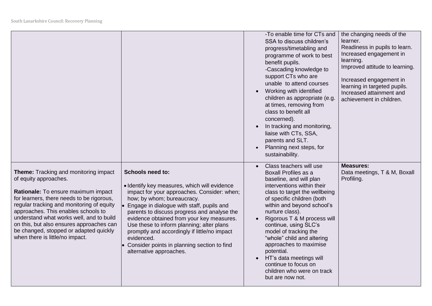|                                                                                                                                                                                                                                                                                                                                                                                                                    |                                                                                                                                                                                                                                                                                                                                                                                                                                                                                    | -To enable time for CTs and<br>SSA to discuss children's<br>progress/timetabling and<br>programme of work to best<br>benefit pupils.<br>-Cascading knowledge to<br>support CTs who are<br>unable to attend courses<br>Working with identified<br>children as appropriate (e.g<br>at times, removing from<br>class to benefit all<br>concerned).<br>In tracking and monitoring,<br>liaise with CTs, SSA,<br>parents and SLT.<br>Planning next steps, for<br>sustainability.           | the changing needs of the<br>learner.<br>Readiness in pupils to learn.<br>Increased engagement in<br>learning.<br>Improved attitude to learning.<br>Increased engagement in<br>learning in targeted pupils.<br>Increased attainment and<br>achievement in children. |
|--------------------------------------------------------------------------------------------------------------------------------------------------------------------------------------------------------------------------------------------------------------------------------------------------------------------------------------------------------------------------------------------------------------------|------------------------------------------------------------------------------------------------------------------------------------------------------------------------------------------------------------------------------------------------------------------------------------------------------------------------------------------------------------------------------------------------------------------------------------------------------------------------------------|--------------------------------------------------------------------------------------------------------------------------------------------------------------------------------------------------------------------------------------------------------------------------------------------------------------------------------------------------------------------------------------------------------------------------------------------------------------------------------------|---------------------------------------------------------------------------------------------------------------------------------------------------------------------------------------------------------------------------------------------------------------------|
| <b>Theme:</b> Tracking and monitoring impact<br>of equity approaches.<br>Rationale: To ensure maximum impact<br>for learners, there needs to be rigorous,<br>regular tracking and monitoring of equity<br>approaches. This enables schools to<br>understand what works well, and to build<br>on this, but also ensures approaches can<br>be changed, stopped or adapted quickly<br>when there is little/no impact. | <b>Schools need to:</b><br>· Identify key measures, which will evidence<br>impact for your approaches. Consider: when;<br>how; by whom; bureaucracy.<br>Engage in dialogue with staff, pupils and<br>parents to discuss progress and analyse the<br>evidence obtained from your key measures.<br>Use these to inform planning; alter plans<br>promptly and accordingly if little/no impact<br>evidenced.<br>Consider points in planning section to find<br>alternative approaches. | Class teachers will use<br>Boxall Profiles as a<br>baseline, and will plan<br>interventions within their<br>class to target the wellbeing<br>of specific children (both<br>within and beyond school's<br>nurture class).<br>Rigorous T & M process will<br>continue, using SLC's<br>model of tracking the<br>"whole" child and altering<br>approaches to maximise<br>potential.<br>HT's data meetings will<br>continue to focus on<br>children who were on track<br>but are now not. | <b>Measures:</b><br>Data meetings, T & M, Boxall<br>Profiling.                                                                                                                                                                                                      |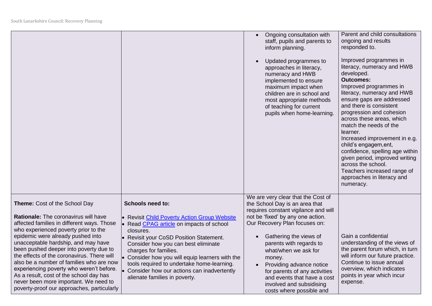|                                                                                                                                                                                                                                                                                                                                                                                                                                                                                                                                                           |                                                                                                                                                                                                                                                                                                                                                                                                                           | Ongoing consultation with<br>staff, pupils and parents to<br>inform planning.<br>Updated programmes to<br>approaches in literacy,<br>numeracy and HWB<br>implemented to ensure<br>maximum impact when<br>children are in school and<br>most appropriate methods<br>of teaching for current<br>pupils when home-learning.                                                                                                      | Parent and child consultations<br>ongoing and results<br>responded to.<br>Improved programmes in<br>literacy, numeracy and HWB<br>developed.<br><b>Outcomes:</b><br>Improved programmes in<br>literacy, numeracy and HWB<br>ensure gaps are addressed<br>and there is consistent<br>progression and cohesion<br>across these areas, which<br>match the needs of the<br>learner.<br>Increased improvement in e.g.<br>child's engagem, ent,<br>confidence, spelling age within<br>given period, improved writing<br>across the school.<br>Teachers increased range of<br>approaches in literacy and<br>numeracy. |
|-----------------------------------------------------------------------------------------------------------------------------------------------------------------------------------------------------------------------------------------------------------------------------------------------------------------------------------------------------------------------------------------------------------------------------------------------------------------------------------------------------------------------------------------------------------|---------------------------------------------------------------------------------------------------------------------------------------------------------------------------------------------------------------------------------------------------------------------------------------------------------------------------------------------------------------------------------------------------------------------------|-------------------------------------------------------------------------------------------------------------------------------------------------------------------------------------------------------------------------------------------------------------------------------------------------------------------------------------------------------------------------------------------------------------------------------|----------------------------------------------------------------------------------------------------------------------------------------------------------------------------------------------------------------------------------------------------------------------------------------------------------------------------------------------------------------------------------------------------------------------------------------------------------------------------------------------------------------------------------------------------------------------------------------------------------------|
| Theme: Cost of the School Day<br>Rationale: The coronavirus will have<br>affected families in different ways. Those<br>who experienced poverty prior to the<br>epidemic were already pushed into<br>unacceptable hardship, and may have<br>been pushed deeper into poverty due to<br>the effects of the coronavirus. There will<br>also be a number of families who are now<br>experiencing poverty who weren't before.<br>As a result, cost of the school day has<br>never been more important. We need to<br>poverty-proof our approaches, particularly | <b>Schools need to:</b><br>• Revisit Child Poverty Action Group Website<br>Read CPAG article on impacts of school<br>closures.<br>• Revisit your CoSD Position Statement.<br>Consider how you can best eliminate<br>charges for families.<br>• Consider how you will equip learners with the<br>tools required to undertake home-learning.<br>Consider how our actions can inadvertently<br>alienate families in poverty. | We are very clear that the Cost of<br>the School Day is an area that<br>requires constant vigilance and will<br>not be 'fixed' by any one action.<br>Our Recovery Plan focuses on:<br>Gathering the views of<br>parents with regards to<br>what/when we ask for<br>money.<br>Providing advance notice<br>for parents of any activities<br>and events that have a cost<br>involved and subsidising<br>costs where possible and | Gain a confidential<br>understanding of the views of<br>the parent forum which, in turn<br>will inform our future practice.<br>Continue to issue annual<br>overview, which indicates<br>points in year which incur<br>expense.                                                                                                                                                                                                                                                                                                                                                                                 |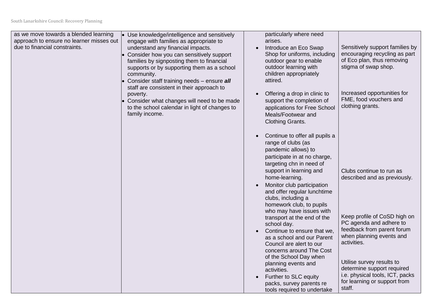| as we move towards a blended learning<br>approach to ensure no learner misses out<br>due to financial constraints. | • Use knowledge/intelligence and sensitively<br>engage with families as appropriate to<br>understand any financial impacts.<br>Consider how you can sensitively support<br>families by signposting them to financial<br>supports or by supporting them as a school<br>community.<br>Consider staff training needs - ensure all<br>staff are consistent in their approach to<br>poverty.<br>Consider what changes will need to be made<br>to the school calendar in light of changes to<br>family income. | $\bullet$<br>$\bullet$              | particularly where need<br>arises.<br>Introduce an Eco Swap<br>Shop for uniforms, including<br>outdoor gear to enable<br>outdoor learning with<br>children appropriately<br>attired.<br>Offering a drop in clinic to<br>support the completion of<br>applications for Free School<br>Meals/Footwear and<br>Clothing Grants.                                                                                  | Sensitively support families by<br>encouraging recycling as part<br>of Eco plan, thus removing<br>stigma of swap shop.<br>Increased opportunities for<br>FME, food vouchers and<br>clothing grants. |
|--------------------------------------------------------------------------------------------------------------------|----------------------------------------------------------------------------------------------------------------------------------------------------------------------------------------------------------------------------------------------------------------------------------------------------------------------------------------------------------------------------------------------------------------------------------------------------------------------------------------------------------|-------------------------------------|--------------------------------------------------------------------------------------------------------------------------------------------------------------------------------------------------------------------------------------------------------------------------------------------------------------------------------------------------------------------------------------------------------------|-----------------------------------------------------------------------------------------------------------------------------------------------------------------------------------------------------|
|                                                                                                                    |                                                                                                                                                                                                                                                                                                                                                                                                                                                                                                          | $\bullet$<br>$\bullet$<br>$\bullet$ | Continue to offer all pupils a<br>range of clubs (as<br>pandemic allows) to<br>participate in at no charge,<br>targeting chn in need of<br>support in learning and<br>home-learning.<br>Monitor club participation<br>and offer regular lunchtime<br>clubs, including a<br>homework club, to pupils<br>who may have issues with<br>transport at the end of the<br>school day.<br>Continue to ensure that we, | Clubs continue to run as<br>described and as previously.<br>Keep profile of CoSD high on<br>PC agenda and adhere to<br>feedback from parent forum                                                   |
|                                                                                                                    |                                                                                                                                                                                                                                                                                                                                                                                                                                                                                                          | $\bullet$                           | as a school and our Parent<br>Council are alert to our<br>concerns around The Cost<br>of the School Day when<br>planning events and<br>activities.<br>Further to SLC equity<br>packs, survey parents re<br>tools required to undertake                                                                                                                                                                       | when planning events and<br>activities.<br>Utilise survey results to<br>determine support required<br>i.e. physical tools, ICT, packs<br>for learning or support from<br>staff.                     |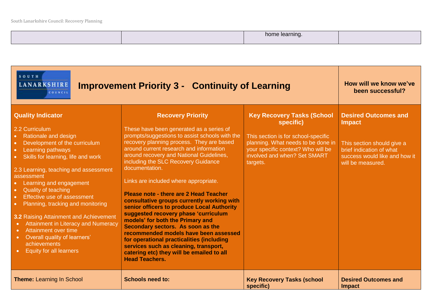|  | --<br>ентш |  |
|--|------------|--|
|  |            |  |

| SOUTH<br><b>LANARKSHIRE</b><br><b>Improvement Priority 3 - Continuity of Learning</b><br>COUNCIL                                                                                                                                                                                                                                                                                                                                                                                                                                                                    | How will we know we've<br>been successful?                                                                                                                                                                                                                                                                                                                                                                                                                                                                                                                                                                                                                                                                                                                                                                               |                                                                                                                                                                                                               |                                                                                                                                                              |
|---------------------------------------------------------------------------------------------------------------------------------------------------------------------------------------------------------------------------------------------------------------------------------------------------------------------------------------------------------------------------------------------------------------------------------------------------------------------------------------------------------------------------------------------------------------------|--------------------------------------------------------------------------------------------------------------------------------------------------------------------------------------------------------------------------------------------------------------------------------------------------------------------------------------------------------------------------------------------------------------------------------------------------------------------------------------------------------------------------------------------------------------------------------------------------------------------------------------------------------------------------------------------------------------------------------------------------------------------------------------------------------------------------|---------------------------------------------------------------------------------------------------------------------------------------------------------------------------------------------------------------|--------------------------------------------------------------------------------------------------------------------------------------------------------------|
| <b>Quality Indicator</b><br>2.2 Curriculum<br>• Rationale and design<br>Development of the curriculum<br>Learning pathways<br>Skills for learning, life and work<br>2.3 Learning, teaching and assessment<br>assessment<br>Learning and engagement<br><b>Quality of teaching</b><br>Effective use of assessment<br>Planning, tracking and monitoring<br>3.2 Raising Attainment and Achievement<br><b>Attainment in Literacy and Numeracy</b><br>Attainment over time<br>$\bullet$<br>Overall quality of learners'<br>achievements<br><b>Equity for all learners</b> | <b>Recovery Priority</b><br>These have been generated as a series of<br>prompts/suggestions to assist schools with the<br>recovery planning process. They are based<br>around current research and information<br>around recovery and National Guidelines,<br>including the SLC Recovery Guidance<br>documentation.<br>Links are included where appropriate.<br>Please note - there are 2 Head Teacher<br>consultative groups currently working with<br>senior officers to produce Local Authority<br>suggested recovery phase 'curriculum<br>models' for both the Primary and<br>Secondary sectors. As soon as the<br>recommended models have been assessed<br>for operational practicalities (including<br>services such as cleaning, transport,<br>catering etc) they will be emailed to all<br><b>Head Teachers.</b> | <b>Key Recovery Tasks (School</b><br>specific)<br>This section is for school-specific<br>planning. What needs to be done in<br>your specific context? Who will be<br>involved and when? Set SMART<br>targets. | <b>Desired Outcomes and</b><br><b>Impact</b><br>This section should give a<br>brief indication of what<br>success would like and how it<br>will be measured. |
| <b>Theme: Learning In School</b>                                                                                                                                                                                                                                                                                                                                                                                                                                                                                                                                    | <b>Schools need to:</b>                                                                                                                                                                                                                                                                                                                                                                                                                                                                                                                                                                                                                                                                                                                                                                                                  | <b>Key Recovery Tasks (school</b><br>specific)                                                                                                                                                                | <b>Desired Outcomes and</b><br><b>Impact</b>                                                                                                                 |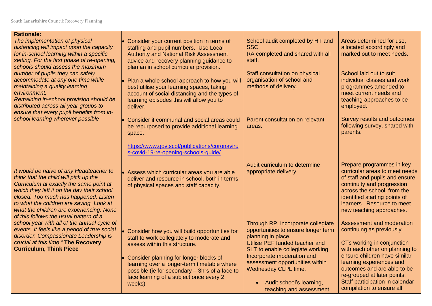| <b>Rationale:</b><br>The implementation of physical<br>distancing will impact upon the capacity<br>for in-school learning within a specific<br>setting. For the first phase of re-opening,<br>schools should assess the maximum<br>number of pupils they can safely<br>accommodate at any one time while<br>maintaining a quality learning<br>environment,<br>Remaining in-school provision should be<br>distributed across all year groups to<br>ensure that every pupil benefits from in-<br>school learning wherever possible | Consider your current position in terms of<br>staffing and pupil numbers. Use Local<br><b>Authority and National Risk Assessment</b><br>advice and recovery planning guidance to<br>plan an in school curricular provision. | School audit completed by HT and<br>SSC.<br>RA completed and shared with all<br>staff.                                                                                                               | Areas determined for use,<br>allocated accordingly and<br>marked out to meet needs.                                                                                                                                                                   |
|----------------------------------------------------------------------------------------------------------------------------------------------------------------------------------------------------------------------------------------------------------------------------------------------------------------------------------------------------------------------------------------------------------------------------------------------------------------------------------------------------------------------------------|-----------------------------------------------------------------------------------------------------------------------------------------------------------------------------------------------------------------------------|------------------------------------------------------------------------------------------------------------------------------------------------------------------------------------------------------|-------------------------------------------------------------------------------------------------------------------------------------------------------------------------------------------------------------------------------------------------------|
|                                                                                                                                                                                                                                                                                                                                                                                                                                                                                                                                  | Plan a whole school approach to how you will<br>best utilise your learning spaces, taking<br>account of social distancing and the types of<br>learning episodes this will allow you to<br>deliver.                          | Staff consultation on physical<br>organisation of school and<br>methods of delivery.                                                                                                                 | School laid out to suit<br>individual classes and work<br>programmes amended to<br>meet current needs and<br>teaching approaches to be<br>employed.                                                                                                   |
|                                                                                                                                                                                                                                                                                                                                                                                                                                                                                                                                  | Consider if communal and social areas could<br>be repurposed to provide additional learning<br>space.                                                                                                                       | Parent consultation on relevant<br>areas.                                                                                                                                                            | Survey results and outcomes<br>following survey, shared with<br>parents.                                                                                                                                                                              |
|                                                                                                                                                                                                                                                                                                                                                                                                                                                                                                                                  | https://www.gov.scot/publications/coronaviru<br>s-covid-19-re-opening-schools-guide/                                                                                                                                        |                                                                                                                                                                                                      |                                                                                                                                                                                                                                                       |
| It would be naive of any Headteacher to<br>think that the child will pick up the<br>Curriculum at exactly the same point at<br>which they left it on the day their school<br>closed. Too much has happened. Listen<br>to what the children are saying. Look at<br>what the children are experiencing. None<br>of this follows the usual pattern of a                                                                                                                                                                             | Assess which curricular areas you are able<br>deliver and resource in school, both in terms<br>of physical spaces and staff capacity.                                                                                       | Audit curriculum to determine<br>appropriate delivery.                                                                                                                                               | Prepare programmes in key<br>curricular areas to meet needs<br>of staff and pupils and ensure<br>continuity and progression<br>across the school, from the<br>identified starting points of<br>learners. Resource to meet<br>new teaching approaches. |
| school year with all of the annual cycle of<br>events. It feels like a period of true social<br>disorder. Compassionate Leadership is<br>crucial at this time." The Recovery<br><b>Curriculum, Think Piece</b>                                                                                                                                                                                                                                                                                                                   | Consider how you will build opportunities for<br>staff to work collegiately to moderate and<br>assess within this structure.<br>Consider planning for longer blocks of                                                      | Through RP, incorporate collegiate<br>opportunities to ensure longer term<br>planning in place.<br>Utilise PEF funded teacher and<br>SLT to enable collegiate working.<br>Incorporate moderation and | Assessment and moderation<br>continuing as previously.<br>CTs working in conjunction<br>with each other on planning to<br>ensure children have similar                                                                                                |
|                                                                                                                                                                                                                                                                                                                                                                                                                                                                                                                                  | learning over a longer-term timetable where<br>possible (ie for secondary - 3hrs of a face to<br>face learning of a subject once every 2<br>weeks)                                                                          | assessment opportunities within<br>Wednesday CLPL time.<br>Audit school's learning,<br>teaching and assessment                                                                                       | learning experiences and<br>outcomes and are able to be<br>re-grouped at later points.<br>Staff participation in calendar<br>compilation to ensure all                                                                                                |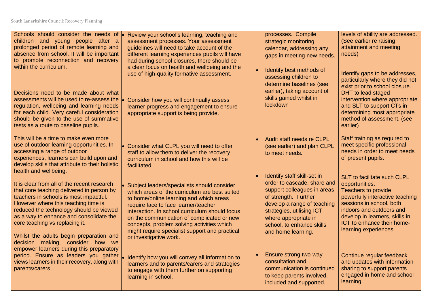| Schools should consider the needs of<br>children and young people after a<br>prolonged period of remote learning and<br>absence from school. It will be important<br>to promote reconnection and recovery                                                                                                                                                             | Review your school's learning, teaching and<br>assessment processes. Your assessment<br>quidelines will need to take account of the<br>different learning experiences pupils will have<br>had during school closures, there should be                                                                                                                                           | processes. Compile<br>strategic monitoring<br>calendar, addressing any<br>gaps in meeting new needs.                                                                                                                                                     | levels of ability are addressed.<br>(See earlier re raising<br>attainment and meeting<br>needs)                                                                                                                                                                 |
|-----------------------------------------------------------------------------------------------------------------------------------------------------------------------------------------------------------------------------------------------------------------------------------------------------------------------------------------------------------------------|---------------------------------------------------------------------------------------------------------------------------------------------------------------------------------------------------------------------------------------------------------------------------------------------------------------------------------------------------------------------------------|----------------------------------------------------------------------------------------------------------------------------------------------------------------------------------------------------------------------------------------------------------|-----------------------------------------------------------------------------------------------------------------------------------------------------------------------------------------------------------------------------------------------------------------|
| within the curriculum.<br>Decisions need to be made about what                                                                                                                                                                                                                                                                                                        | a clear focus on health and wellbeing and the<br>use of high-quality formative assessment.                                                                                                                                                                                                                                                                                      | Identify best methods of<br>assessing children to<br>determine baselines (see<br>earlier), taking account of<br>skills gained whilst in                                                                                                                  | Identify gaps to be addresses,<br>particularly where they did not<br>exist prior to school closure.<br>DHT to lead staged                                                                                                                                       |
| assessments will be used to re-assess the<br>regulation, wellbeing and learning needs<br>for each child. Very careful consideration<br>should be given to the use of summative<br>tests as a route to baseline pupils.                                                                                                                                                | Consider how you will continually assess<br>learner progress and engagement to ensure<br>appropriate support is being provide.                                                                                                                                                                                                                                                  | lockdown                                                                                                                                                                                                                                                 | intervention where appropriate<br>and SLT to support CTs in<br>determining most appropriate<br>method of assessment. (see<br>earlier)                                                                                                                           |
| This will be a time to make even more<br>use of outdoor learning opportunities. In<br>accessing a range of outdoor<br>experiences, learners can build upon and<br>develop skills that attribute to their holistic                                                                                                                                                     | • Consider what CLPL you will need to offer<br>staff to allow them to deliver the recovery<br>curriculum in school and how this will be<br>facilitated.                                                                                                                                                                                                                         | Audit staff needs re CLPL<br>(see earlier) and plan CLPL<br>to meet needs.                                                                                                                                                                               | Staff training as required to<br>meet specific professional<br>needs in order to meet needs<br>of present pupils.                                                                                                                                               |
| health and wellbeing.<br>It is clear from all of the recent research<br>that core teaching delivered in person by<br>teachers in schools is most impactful.<br>However where this teaching time is<br>reduced the technology should be viewed<br>as a way to enhance and consolidate the<br>core teaching vs replacing it.<br>Whilst the adults begin preparation and | Subject leaders/specialists should consider<br>which areas of the curriculum are best suited<br>to home/online learning and which areas<br>require face to face learner/teacher<br>interaction. In school curriculum should focus<br>on the communication of complicated or new<br>concepts, problem solving activities which<br>might require specialist support and practical | Identify staff skill-set in<br>order to cascade, share and<br>support colleagues in areas<br>of strength. Further<br>develop a range of teaching<br>strategies, utilising ICT<br>where appropriate in<br>school, to enhance skills<br>and home learning. | SLT to facilitate such CLPL<br>opportunities.<br><b>Teachers to provide</b><br>powerfully interactive teaching<br>sessions in school, both<br>indoors and outdoors and<br>develop in learners, skills in<br>ICT to enhance their home-<br>learning experiences. |
| decision making, consider how we<br>empower learners during this preparatory<br>period. Ensure as leaders you gather<br>views learners in their recovery, along with<br>parents/carers.                                                                                                                                                                               | or investigative work.<br>Identify how you will convey all information to<br>learners and to parents/carers and strategies<br>to engage with them further on supporting<br>learning in school.                                                                                                                                                                                  | Ensure strong two-way<br>consultation and<br>communication is continued<br>to keep parents involved,<br>included and supported.                                                                                                                          | Continue regular feedback<br>and updates with information<br>sharing to support parents<br>engaged in home and school<br>learning.                                                                                                                              |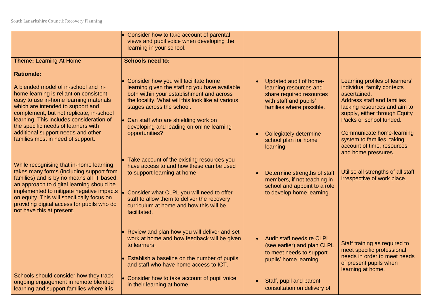|                                                                                                                                                                                                                                                                                                                                                     | • Consider how to take account of parental<br>views and pupil voice when developing the<br>learning in your school.                                                                                                                                                                                                  |                                                                                                                                                                          |                                                                                                                                                                                                               |
|-----------------------------------------------------------------------------------------------------------------------------------------------------------------------------------------------------------------------------------------------------------------------------------------------------------------------------------------------------|----------------------------------------------------------------------------------------------------------------------------------------------------------------------------------------------------------------------------------------------------------------------------------------------------------------------|--------------------------------------------------------------------------------------------------------------------------------------------------------------------------|---------------------------------------------------------------------------------------------------------------------------------------------------------------------------------------------------------------|
| <b>Theme: Learning At Home</b>                                                                                                                                                                                                                                                                                                                      | <b>Schools need to:</b>                                                                                                                                                                                                                                                                                              |                                                                                                                                                                          |                                                                                                                                                                                                               |
| <b>Rationale:</b><br>A blended model of in-school and in-<br>home learning is reliant on consistent,<br>easy to use in-home learning materials<br>which are intended to support and<br>complement, but not replicate, in-school<br>learning. This includes consideration of<br>the specific needs of learners with                                  | Consider how you will facilitate home<br>learning given the staffing you have available<br>both within your establishment and across<br>the locality. What will this look like at various<br>stages across the school.<br>$\bullet$ Can staff who are shielding work on<br>developing and leading on online learning | Updated audit of home-<br>learning resources and<br>share required resources<br>with staff and pupils'<br>families where possible.                                       | Learning profiles of learners'<br>individual family contexts<br>ascertained.<br><b>Address staff and families</b><br>lacking resources and aim to<br>supply, either through Equity<br>Packs or school funded. |
| additional support needs and other<br>families most in need of support.                                                                                                                                                                                                                                                                             | opportunities?                                                                                                                                                                                                                                                                                                       | <b>Collegiately determine</b><br>school plan for home<br>learning.                                                                                                       | Communicate home-learning<br>system to families, taking<br>account of time, resources<br>and home pressures.                                                                                                  |
| While recognising that in-home learning<br>takes many forms (including support from<br>families) and is by no means all IT based,<br>an approach to digital learning should be<br>implemented to mitigate negative impacts<br>on equity. This will specifically focus on<br>providing digital access for pupils who do<br>not have this at present. | $\bullet$ Take account of the existing resources you<br>have access to and how these can be used<br>to support learning at home.<br>Consider what CLPL you will need to offer<br>staff to allow them to deliver the recovery<br>curriculum at home and how this will be<br>facilitated.                              | Determine strengths of staff<br>members, if not teaching in<br>school and appoint to a role<br>to develop home learning.                                                 | Utilise all strengths of all staff<br>irrespective of work place.                                                                                                                                             |
| Schools should consider how they track<br>ongoing engagement in remote blended<br>learning and support families where it is                                                                                                                                                                                                                         | $\cdot$ Review and plan how you will deliver and set<br>work at home and how feedback will be given<br>to learners.<br>$\bullet$ Establish a baseline on the number of pupils<br>and staff who have home access to ICT.<br>$\bullet$ Consider how to take account of pupil voice<br>in their learning at home.       | Audit staff needs re CLPL<br>(see earlier) and plan CLPL<br>to meet needs to support<br>pupils' home learning.<br>Staff, pupil and parent<br>consultation on delivery of | Staff training as required to<br>meet specific professional<br>needs in order to meet needs<br>of present pupils when<br>learning at home.                                                                    |